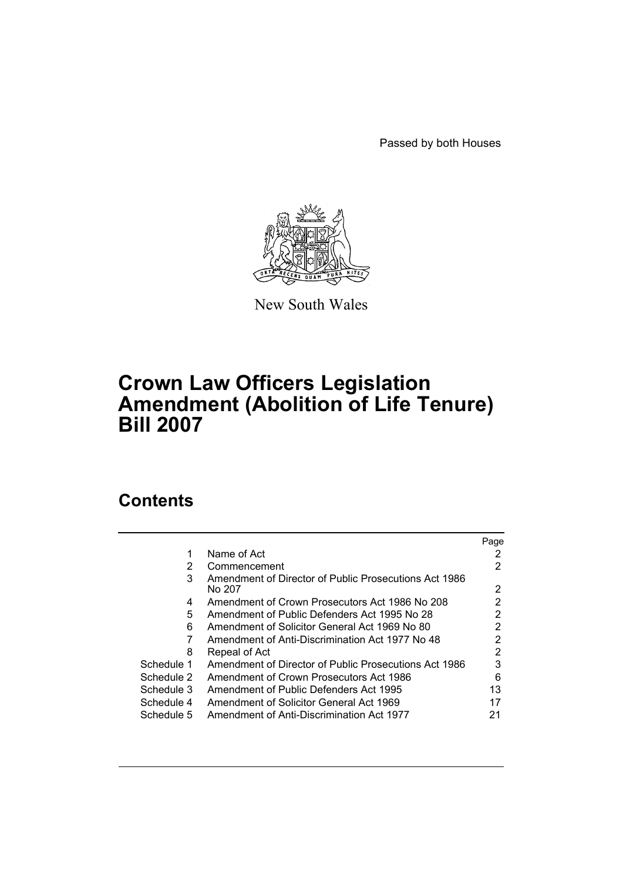Passed by both Houses



New South Wales

# **Crown Law Officers Legislation Amendment (Abolition of Life Tenure) Bill 2007**

# **Contents**

|            |                                                       | Page |
|------------|-------------------------------------------------------|------|
|            | Name of Act                                           |      |
| 2          | Commencement                                          | 2    |
| 3          | Amendment of Director of Public Prosecutions Act 1986 |      |
|            | No 207                                                | 2    |
| 4          | Amendment of Crown Prosecutors Act 1986 No 208        | 2    |
| 5          | Amendment of Public Defenders Act 1995 No 28          | 2    |
| 6          | Amendment of Solicitor General Act 1969 No 80         | 2    |
|            | Amendment of Anti-Discrimination Act 1977 No 48       | 2    |
| 8          | Repeal of Act                                         | 2    |
| Schedule 1 | Amendment of Director of Public Prosecutions Act 1986 | 3    |
| Schedule 2 | Amendment of Crown Prosecutors Act 1986               | 6    |
| Schedule 3 | Amendment of Public Defenders Act 1995                | 13   |
| Schedule 4 | Amendment of Solicitor General Act 1969               |      |
| Schedule 5 | Amendment of Anti-Discrimination Act 1977             | 21   |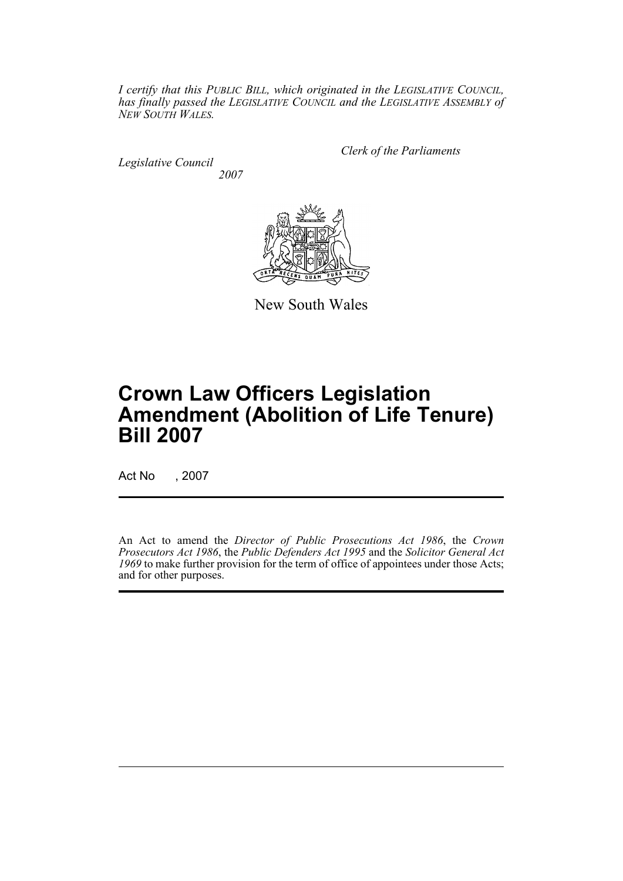*I certify that this PUBLIC BILL, which originated in the LEGISLATIVE COUNCIL, has finally passed the LEGISLATIVE COUNCIL and the LEGISLATIVE ASSEMBLY of NEW SOUTH WALES.*

*Legislative Council 2007* *Clerk of the Parliaments*



New South Wales

# **Crown Law Officers Legislation Amendment (Abolition of Life Tenure) Bill 2007**

Act No , 2007

An Act to amend the *Director of Public Prosecutions Act 1986*, the *Crown Prosecutors Act 1986*, the *Public Defenders Act 1995* and the *Solicitor General Act 1969* to make further provision for the term of office of appointees under those Acts; and for other purposes.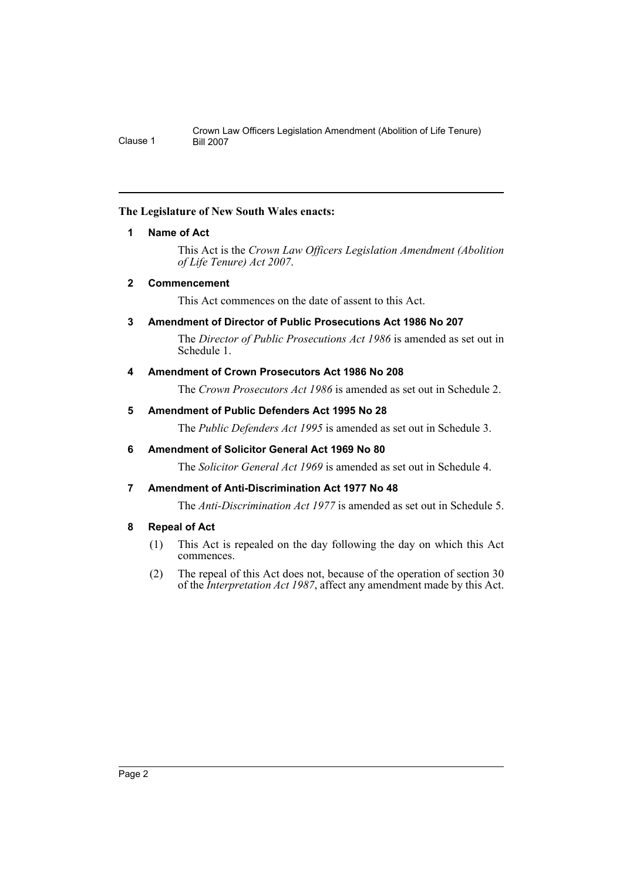# <span id="page-2-0"></span>**The Legislature of New South Wales enacts:**

# **1 Name of Act**

This Act is the *Crown Law Officers Legislation Amendment (Abolition of Life Tenure) Act 2007*.

# <span id="page-2-1"></span>**2 Commencement**

This Act commences on the date of assent to this Act.

# <span id="page-2-2"></span>**3 Amendment of Director of Public Prosecutions Act 1986 No 207**

The *Director of Public Prosecutions Act 1986* is amended as set out in Schedule 1.

# <span id="page-2-3"></span>**4 Amendment of Crown Prosecutors Act 1986 No 208**

The *Crown Prosecutors Act 1986* is amended as set out in Schedule 2.

# <span id="page-2-4"></span>**5 Amendment of Public Defenders Act 1995 No 28**

The *Public Defenders Act 1995* is amended as set out in Schedule 3.

# <span id="page-2-5"></span>**6 Amendment of Solicitor General Act 1969 No 80**

The *Solicitor General Act 1969* is amended as set out in Schedule 4.

# <span id="page-2-6"></span>**7 Amendment of Anti-Discrimination Act 1977 No 48**

The *Anti-Discrimination Act 1977* is amended as set out in Schedule 5.

# <span id="page-2-7"></span>**8 Repeal of Act**

- (1) This Act is repealed on the day following the day on which this Act commences.
- (2) The repeal of this Act does not, because of the operation of section 30 of the *Interpretation Act 1987*, affect any amendment made by this Act.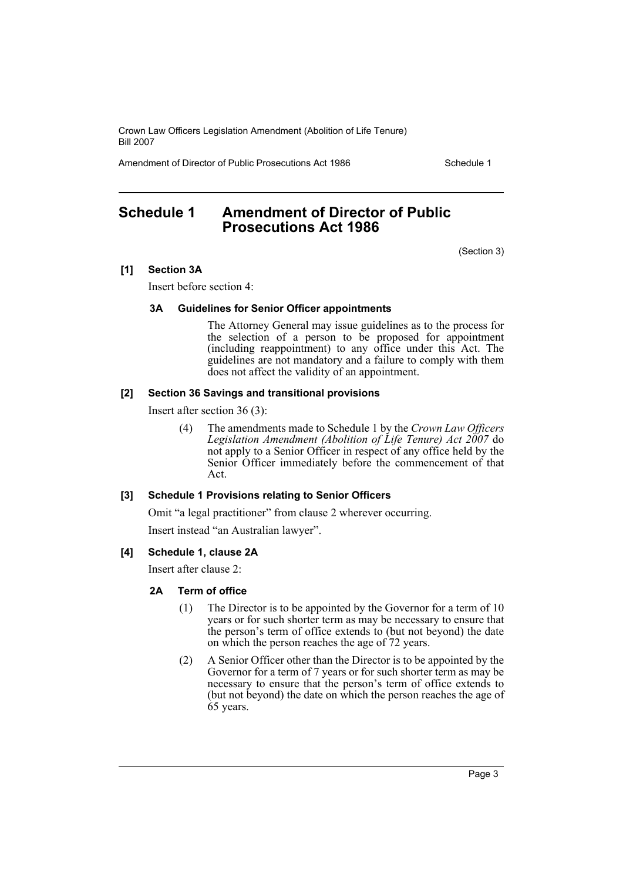Amendment of Director of Public Prosecutions Act 1986 Schedule 1

# <span id="page-3-0"></span>**Schedule 1 Amendment of Director of Public Prosecutions Act 1986**

(Section 3)

# **[1] Section 3A**

Insert before section 4:

#### **3A Guidelines for Senior Officer appointments**

The Attorney General may issue guidelines as to the process for the selection of a person to be proposed for appointment (including reappointment) to any office under this Act. The guidelines are not mandatory and a failure to comply with them does not affect the validity of an appointment.

#### **[2] Section 36 Savings and transitional provisions**

Insert after section 36 (3):

(4) The amendments made to Schedule 1 by the *Crown Law Officers Legislation Amendment (Abolition of Life Tenure) Act 2007* do not apply to a Senior Officer in respect of any office held by the Senior Officer immediately before the commencement of that Act.

# **[3] Schedule 1 Provisions relating to Senior Officers**

Omit "a legal practitioner" from clause 2 wherever occurring. Insert instead "an Australian lawyer".

# **[4] Schedule 1, clause 2A**

Insert after clause 2:

# **2A Term of office**

- (1) The Director is to be appointed by the Governor for a term of 10 years or for such shorter term as may be necessary to ensure that the person's term of office extends to (but not beyond) the date on which the person reaches the age of 72 years.
- (2) A Senior Officer other than the Director is to be appointed by the Governor for a term of 7 years or for such shorter term as may be necessary to ensure that the person's term of office extends to (but not beyond) the date on which the person reaches the age of 65 years.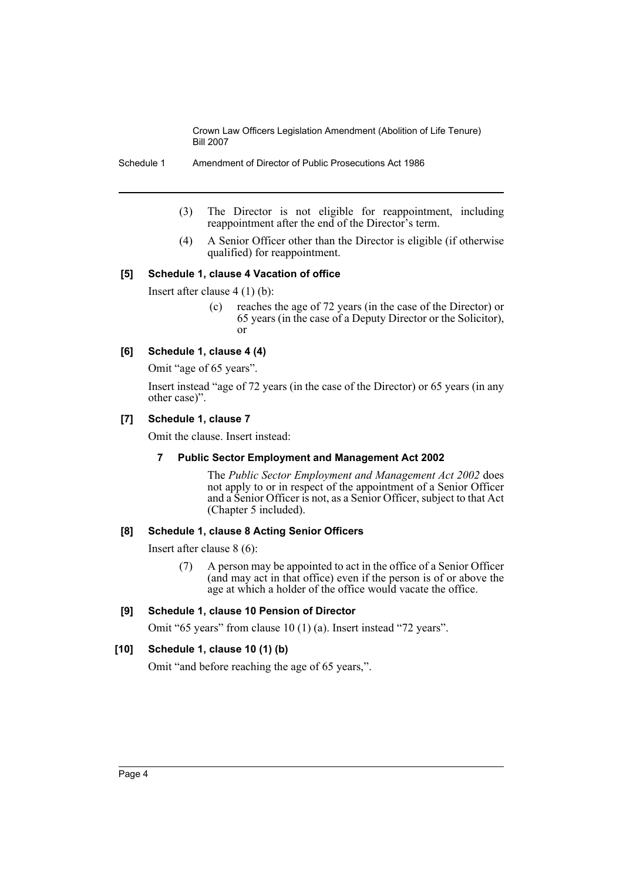Schedule 1 Amendment of Director of Public Prosecutions Act 1986

- (3) The Director is not eligible for reappointment, including reappointment after the end of the Director's term.
- (4) A Senior Officer other than the Director is eligible (if otherwise qualified) for reappointment.

#### **[5] Schedule 1, clause 4 Vacation of office**

Insert after clause 4 (1) (b):

(c) reaches the age of 72 years (in the case of the Director) or 65 years (in the case of a Deputy Director or the Solicitor), or

# **[6] Schedule 1, clause 4 (4)**

Omit "age of 65 years".

Insert instead "age of 72 years (in the case of the Director) or 65 years (in any other case)".

#### **[7] Schedule 1, clause 7**

Omit the clause. Insert instead:

#### **7 Public Sector Employment and Management Act 2002**

The *Public Sector Employment and Management Act 2002* does not apply to or in respect of the appointment of a Senior Officer and a Senior Officer is not, as a Senior Officer, subject to that Act (Chapter 5 included).

#### **[8] Schedule 1, clause 8 Acting Senior Officers**

Insert after clause 8 (6):

(7) A person may be appointed to act in the office of a Senior Officer (and may act in that office) even if the person is of or above the age at which a holder of the office would vacate the office.

# **[9] Schedule 1, clause 10 Pension of Director**

Omit "65 years" from clause 10 (1) (a). Insert instead "72 years".

# **[10] Schedule 1, clause 10 (1) (b)**

Omit "and before reaching the age of 65 years,".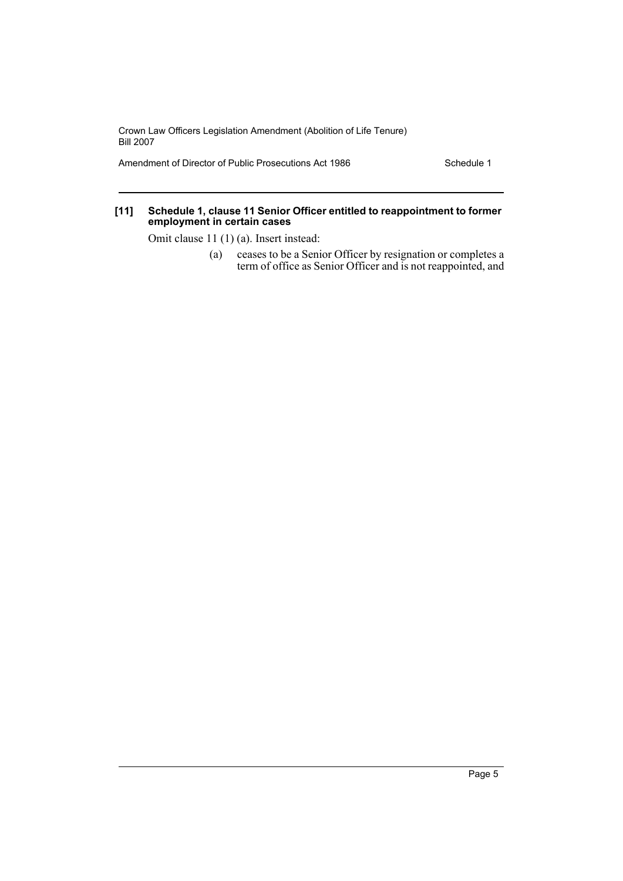Amendment of Director of Public Prosecutions Act 1986 Schedule 1

#### **[11] Schedule 1, clause 11 Senior Officer entitled to reappointment to former employment in certain cases**

Omit clause 11 (1) (a). Insert instead:

(a) ceases to be a Senior Officer by resignation or completes a term of office as Senior Officer and is not reappointed, and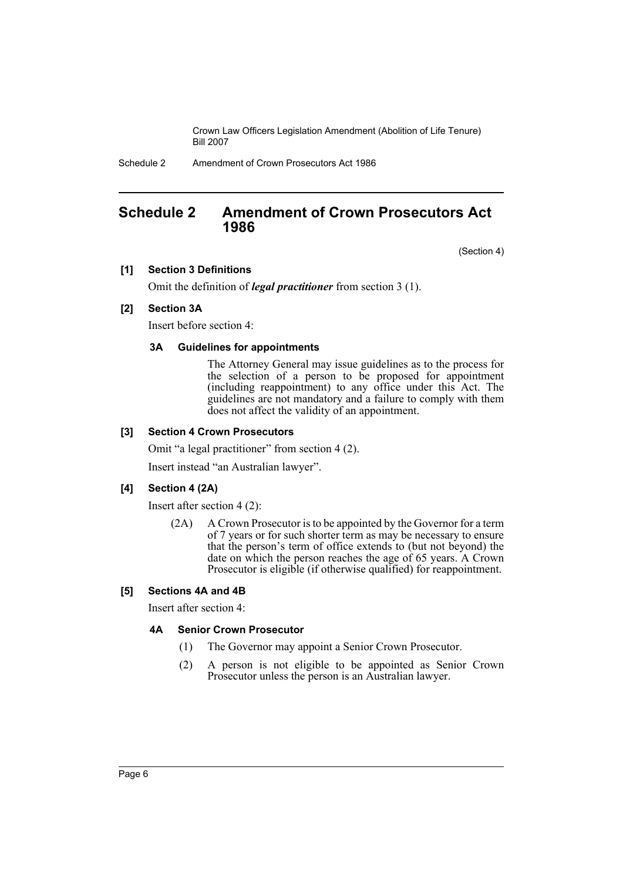Schedule 2 Amendment of Crown Prosecutors Act 1986

# <span id="page-6-0"></span>**Schedule 2 Amendment of Crown Prosecutors Act 1986**

(Section 4)

#### **[1] Section 3 Definitions**

Omit the definition of *legal practitioner* from section 3 (1).

#### **[2] Section 3A**

Insert before section 4:

#### **3A Guidelines for appointments**

The Attorney General may issue guidelines as to the process for the selection of a person to be proposed for appointment (including reappointment) to any office under this Act. The guidelines are not mandatory and a failure to comply with them does not affect the validity of an appointment.

#### **[3] Section 4 Crown Prosecutors**

Omit "a legal practitioner" from section 4 (2).

Insert instead "an Australian lawyer".

#### **[4] Section 4 (2A)**

Insert after section 4 (2):

(2A) A Crown Prosecutor is to be appointed by the Governor for a term of 7 years or for such shorter term as may be necessary to ensure that the person's term of office extends to (but not beyond) the date on which the person reaches the age of 65 years. A Crown Prosecutor is eligible (if otherwise qualified) for reappointment.

#### **[5] Sections 4A and 4B**

Insert after section 4:

# **4A Senior Crown Prosecutor**

- (1) The Governor may appoint a Senior Crown Prosecutor.
- (2) A person is not eligible to be appointed as Senior Crown Prosecutor unless the person is an Australian lawyer.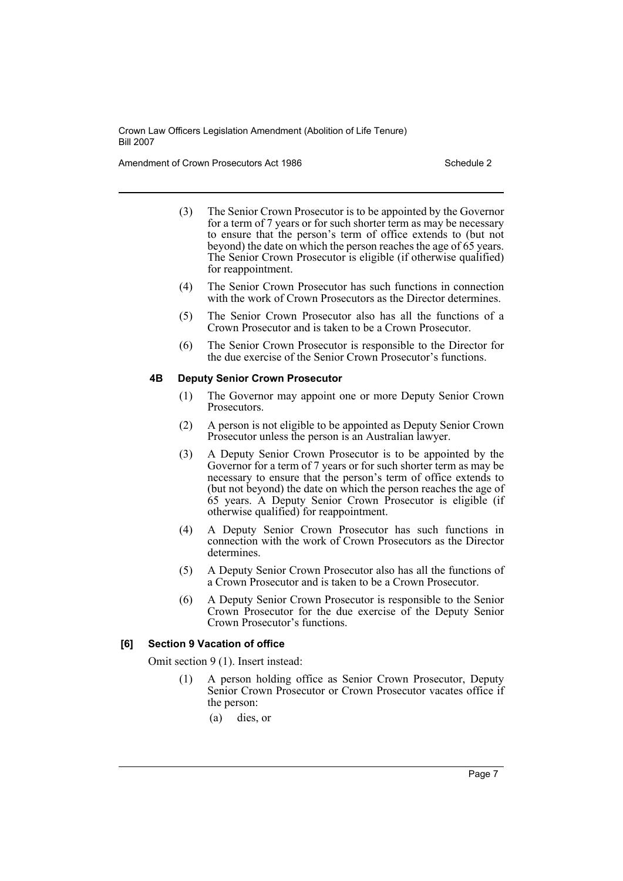Amendment of Crown Prosecutors Act 1986 Schedule 2

- (3) The Senior Crown Prosecutor is to be appointed by the Governor for a term of 7 years or for such shorter term as may be necessary to ensure that the person's term of office extends to (but not beyond) the date on which the person reaches the age of 65 years. The Senior Crown Prosecutor is eligible (if otherwise qualified) for reappointment.
- (4) The Senior Crown Prosecutor has such functions in connection with the work of Crown Prosecutors as the Director determines.
- (5) The Senior Crown Prosecutor also has all the functions of a Crown Prosecutor and is taken to be a Crown Prosecutor.
- (6) The Senior Crown Prosecutor is responsible to the Director for the due exercise of the Senior Crown Prosecutor's functions.

#### **4B Deputy Senior Crown Prosecutor**

- (1) The Governor may appoint one or more Deputy Senior Crown Prosecutors.
- (2) A person is not eligible to be appointed as Deputy Senior Crown Prosecutor unless the person is an Australian lawyer.
- (3) A Deputy Senior Crown Prosecutor is to be appointed by the Governor for a term of 7 years or for such shorter term as may be necessary to ensure that the person's term of office extends to (but not beyond) the date on which the person reaches the age of 65 years. A Deputy Senior Crown Prosecutor is eligible (if otherwise qualified) for reappointment.
- (4) A Deputy Senior Crown Prosecutor has such functions in connection with the work of Crown Prosecutors as the Director determines.
- (5) A Deputy Senior Crown Prosecutor also has all the functions of a Crown Prosecutor and is taken to be a Crown Prosecutor.
- (6) A Deputy Senior Crown Prosecutor is responsible to the Senior Crown Prosecutor for the due exercise of the Deputy Senior Crown Prosecutor's functions.

# **[6] Section 9 Vacation of office**

Omit section 9 (1). Insert instead:

- (1) A person holding office as Senior Crown Prosecutor, Deputy Senior Crown Prosecutor or Crown Prosecutor vacates office if the person:
	- (a) dies, or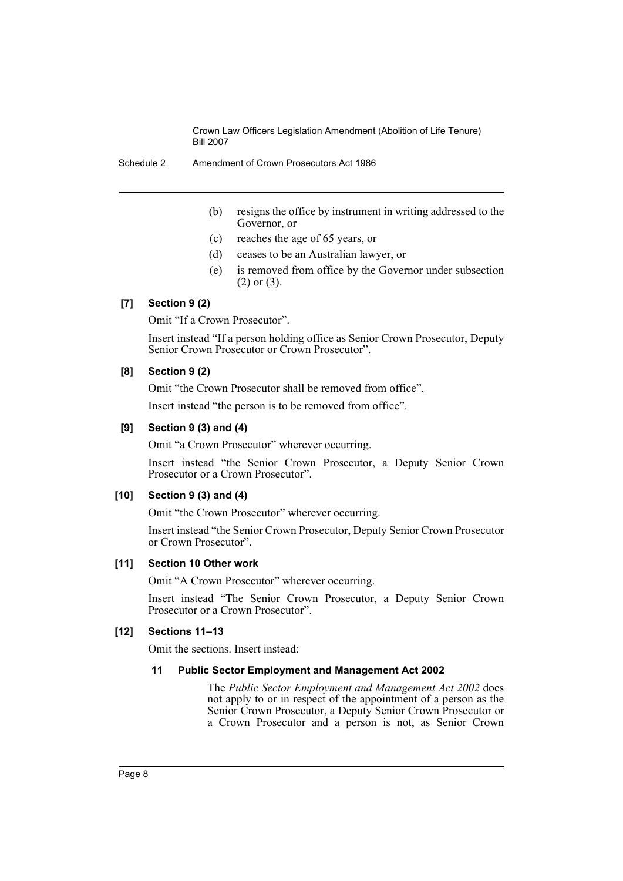- (b) resigns the office by instrument in writing addressed to the Governor, or
- (c) reaches the age of 65 years, or
- (d) ceases to be an Australian lawyer, or
- (e) is removed from office by the Governor under subsection (2) or (3).

# **[7] Section 9 (2)**

Omit "If a Crown Prosecutor".

Insert instead "If a person holding office as Senior Crown Prosecutor, Deputy Senior Crown Prosecutor or Crown Prosecutor".

# **[8] Section 9 (2)**

Omit "the Crown Prosecutor shall be removed from office".

Insert instead "the person is to be removed from office".

#### **[9] Section 9 (3) and (4)**

Omit "a Crown Prosecutor" wherever occurring.

Insert instead "the Senior Crown Prosecutor, a Deputy Senior Crown Prosecutor or a Crown Prosecutor".

#### **[10] Section 9 (3) and (4)**

Omit "the Crown Prosecutor" wherever occurring.

Insert instead "the Senior Crown Prosecutor, Deputy Senior Crown Prosecutor or Crown Prosecutor".

#### **[11] Section 10 Other work**

Omit "A Crown Prosecutor" wherever occurring.

Insert instead "The Senior Crown Prosecutor, a Deputy Senior Crown Prosecutor or a Crown Prosecutor".

# **[12] Sections 11–13**

Omit the sections. Insert instead:

#### **11 Public Sector Employment and Management Act 2002**

The *Public Sector Employment and Management Act 2002* does not apply to or in respect of the appointment of a person as the Senior Crown Prosecutor, a Deputy Senior Crown Prosecutor or a Crown Prosecutor and a person is not, as Senior Crown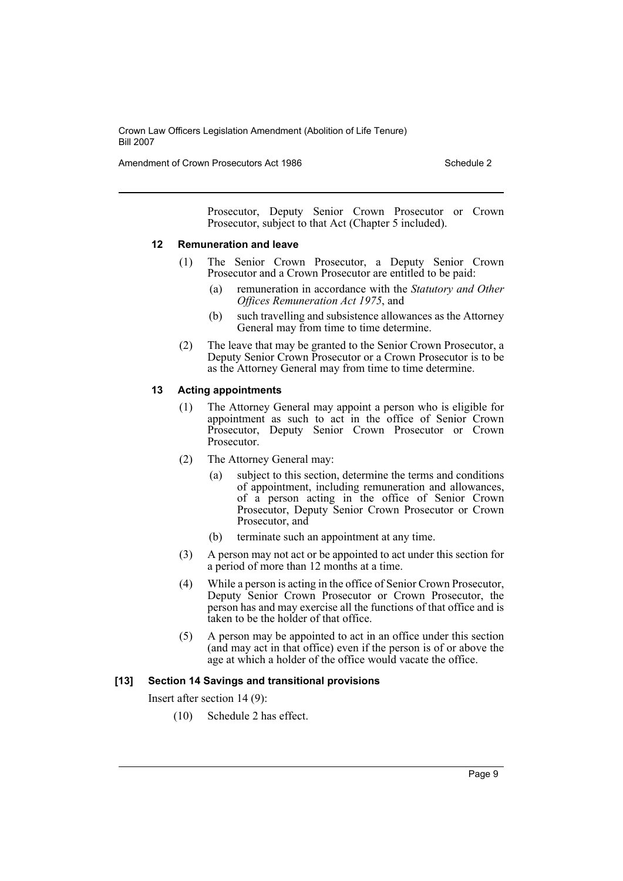Amendment of Crown Prosecutors Act 1986 Schedule 2

Prosecutor, Deputy Senior Crown Prosecutor or Crown Prosecutor, subject to that Act (Chapter 5 included).

#### **12 Remuneration and leave**

- (1) The Senior Crown Prosecutor, a Deputy Senior Crown Prosecutor and a Crown Prosecutor are entitled to be paid:
	- (a) remuneration in accordance with the *Statutory and Other Offices Remuneration Act 1975*, and
	- (b) such travelling and subsistence allowances as the Attorney General may from time to time determine.
- (2) The leave that may be granted to the Senior Crown Prosecutor, a Deputy Senior Crown Prosecutor or a Crown Prosecutor is to be as the Attorney General may from time to time determine.

#### **13 Acting appointments**

- (1) The Attorney General may appoint a person who is eligible for appointment as such to act in the office of Senior Crown Prosecutor, Deputy Senior Crown Prosecutor or Crown Prosecutor.
- (2) The Attorney General may:
	- (a) subject to this section, determine the terms and conditions of appointment, including remuneration and allowances, of a person acting in the office of Senior Crown Prosecutor, Deputy Senior Crown Prosecutor or Crown Prosecutor, and
	- (b) terminate such an appointment at any time.
- (3) A person may not act or be appointed to act under this section for a period of more than 12 months at a time.
- (4) While a person is acting in the office of Senior Crown Prosecutor, Deputy Senior Crown Prosecutor or Crown Prosecutor, the person has and may exercise all the functions of that office and is taken to be the holder of that office.
- (5) A person may be appointed to act in an office under this section (and may act in that office) even if the person is of or above the age at which a holder of the office would vacate the office.

#### **[13] Section 14 Savings and transitional provisions**

Insert after section 14 (9):

(10) Schedule 2 has effect.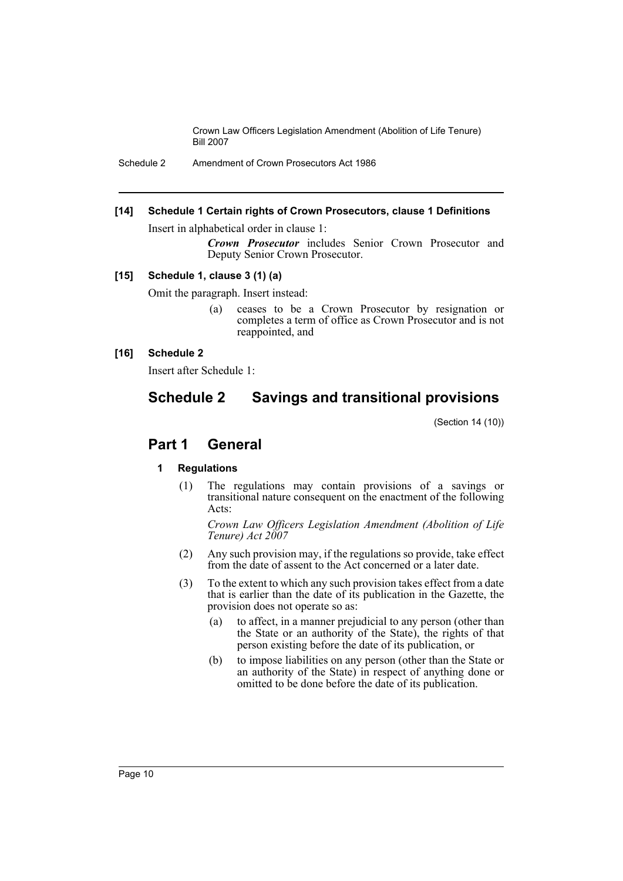Schedule 2 Amendment of Crown Prosecutors Act 1986

#### **[14] Schedule 1 Certain rights of Crown Prosecutors, clause 1 Definitions**

Insert in alphabetical order in clause 1:

*Crown Prosecutor* includes Senior Crown Prosecutor and Deputy Senior Crown Prosecutor.

# **[15] Schedule 1, clause 3 (1) (a)**

Omit the paragraph. Insert instead:

(a) ceases to be a Crown Prosecutor by resignation or completes a term of office as Crown Prosecutor and is not reappointed, and

#### **[16] Schedule 2**

Insert after Schedule 1:

# **Schedule 2 Savings and transitional provisions**

(Section 14 (10))

# **Part 1 General**

# **1 Regulations**

(1) The regulations may contain provisions of a savings or transitional nature consequent on the enactment of the following Acts:

*Crown Law Officers Legislation Amendment (Abolition of Life Tenure) Act 2007*

- (2) Any such provision may, if the regulations so provide, take effect from the date of assent to the Act concerned or a later date.
- (3) To the extent to which any such provision takes effect from a date that is earlier than the date of its publication in the Gazette, the provision does not operate so as:
	- (a) to affect, in a manner prejudicial to any person (other than the State or an authority of the State), the rights of that person existing before the date of its publication, or
	- (b) to impose liabilities on any person (other than the State or an authority of the State) in respect of anything done or omitted to be done before the date of its publication.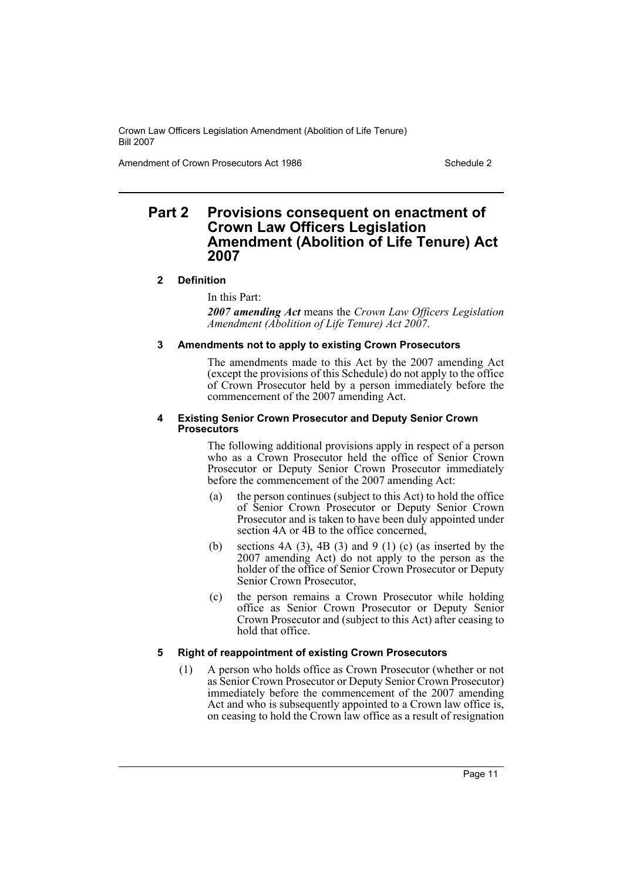Amendment of Crown Prosecutors Act 1986 Schedule 2

# **Part 2 Provisions consequent on enactment of Crown Law Officers Legislation Amendment (Abolition of Life Tenure) Act 2007**

# **2 Definition**

In this Part:

*2007 amending Act* means the *Crown Law Officers Legislation Amendment (Abolition of Life Tenure) Act 2007*.

# **3 Amendments not to apply to existing Crown Prosecutors**

The amendments made to this Act by the 2007 amending Act (except the provisions of this Schedule) do not apply to the office of Crown Prosecutor held by a person immediately before the commencement of the 2007 amending Act.

#### **4 Existing Senior Crown Prosecutor and Deputy Senior Crown Prosecutors**

The following additional provisions apply in respect of a person who as a Crown Prosecutor held the office of Senior Crown Prosecutor or Deputy Senior Crown Prosecutor immediately before the commencement of the 2007 amending Act:

- (a) the person continues (subject to this Act) to hold the office of Senior Crown Prosecutor or Deputy Senior Crown Prosecutor and is taken to have been duly appointed under section 4A or 4B to the office concerned,
- (b) sections  $4A(3)$ ,  $4B(3)$  and  $9(1)$  (c) (as inserted by the 2007 amending Act) do not apply to the person as the holder of the office of Senior Crown Prosecutor or Deputy Senior Crown Prosecutor,
- (c) the person remains a Crown Prosecutor while holding office as Senior Crown Prosecutor or Deputy Senior Crown Prosecutor and (subject to this Act) after ceasing to hold that office.

# **5 Right of reappointment of existing Crown Prosecutors**

(1) A person who holds office as Crown Prosecutor (whether or not as Senior Crown Prosecutor or Deputy Senior Crown Prosecutor) immediately before the commencement of the 2007 amending Act and who is subsequently appointed to a Crown law office is, on ceasing to hold the Crown law office as a result of resignation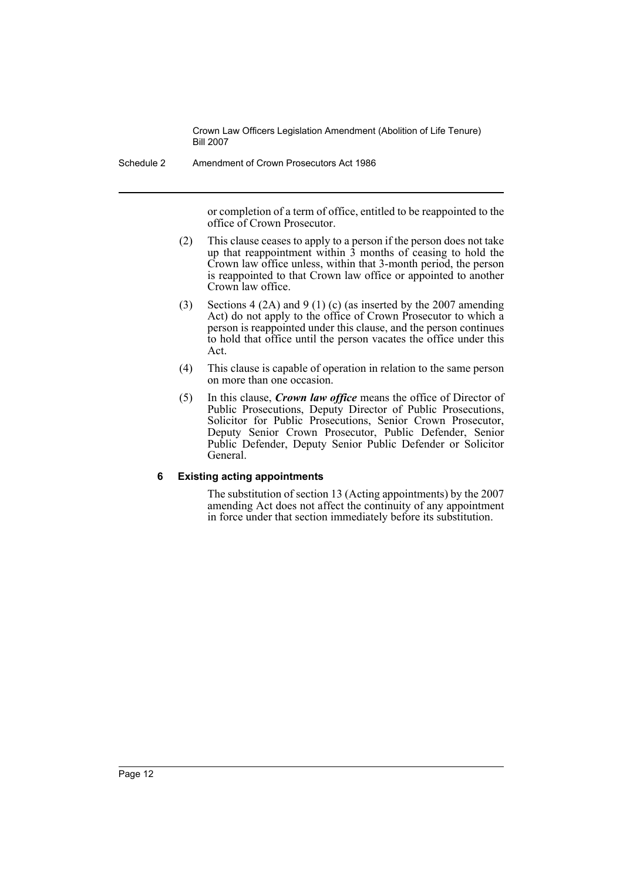Schedule 2 Amendment of Crown Prosecutors Act 1986

or completion of a term of office, entitled to be reappointed to the office of Crown Prosecutor.

- (2) This clause ceases to apply to a person if the person does not take up that reappointment within 3 months of ceasing to hold the Crown law office unless, within that 3-month period, the person is reappointed to that Crown law office or appointed to another Crown law office.
- (3) Sections 4 (2A) and 9 (1) (c) (as inserted by the 2007 amending Act) do not apply to the office of Crown Prosecutor to which a person is reappointed under this clause, and the person continues to hold that office until the person vacates the office under this Act.
- (4) This clause is capable of operation in relation to the same person on more than one occasion.
- (5) In this clause, *Crown law office* means the office of Director of Public Prosecutions, Deputy Director of Public Prosecutions, Solicitor for Public Prosecutions, Senior Crown Prosecutor, Deputy Senior Crown Prosecutor, Public Defender, Senior Public Defender, Deputy Senior Public Defender or Solicitor General.

#### **6 Existing acting appointments**

The substitution of section 13 (Acting appointments) by the 2007 amending Act does not affect the continuity of any appointment in force under that section immediately before its substitution.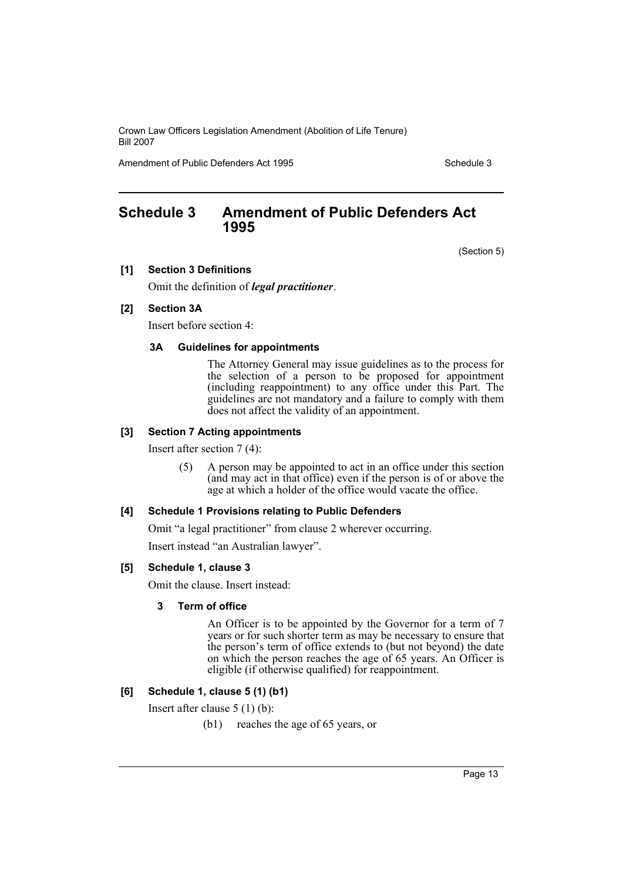Amendment of Public Defenders Act 1995 Schedule 3

# <span id="page-13-0"></span>**Schedule 3 Amendment of Public Defenders Act 1995**

(Section 5)

#### **[1] Section 3 Definitions**

Omit the definition of *legal practitioner*.

# **[2] Section 3A**

Insert before section 4:

#### **3A Guidelines for appointments**

The Attorney General may issue guidelines as to the process for the selection of a person to be proposed for appointment (including reappointment) to any office under this Part. The guidelines are not mandatory and a failure to comply with them does not affect the validity of an appointment.

#### **[3] Section 7 Acting appointments**

Insert after section 7 (4):

(5) A person may be appointed to act in an office under this section (and may act in that office) even if the person is of or above the age at which a holder of the office would vacate the office.

#### **[4] Schedule 1 Provisions relating to Public Defenders**

Omit "a legal practitioner" from clause 2 wherever occurring.

Insert instead "an Australian lawyer".

#### **[5] Schedule 1, clause 3**

Omit the clause. Insert instead:

#### **3 Term of office**

An Officer is to be appointed by the Governor for a term of 7 years or for such shorter term as may be necessary to ensure that the person's term of office extends to (but not beyond) the date on which the person reaches the age of 65 years. An Officer is eligible (if otherwise qualified) for reappointment.

# **[6] Schedule 1, clause 5 (1) (b1)**

Insert after clause 5 (1) (b):

(b1) reaches the age of 65 years, or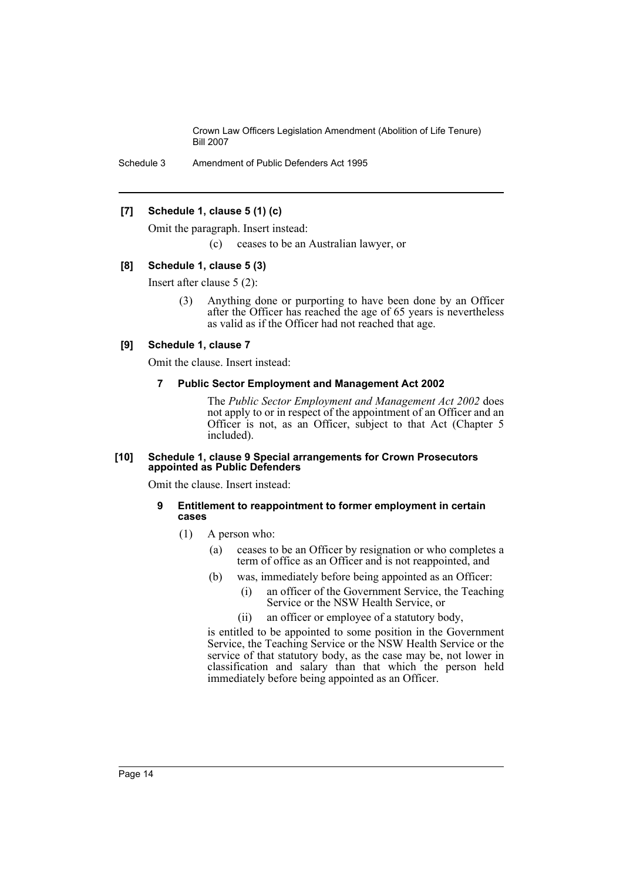Schedule 3 Amendment of Public Defenders Act 1995

#### **[7] Schedule 1, clause 5 (1) (c)**

Omit the paragraph. Insert instead:

(c) ceases to be an Australian lawyer, or

#### **[8] Schedule 1, clause 5 (3)**

Insert after clause 5 (2):

(3) Anything done or purporting to have been done by an Officer after the Officer has reached the age of 65 years is nevertheless as valid as if the Officer had not reached that age.

#### **[9] Schedule 1, clause 7**

Omit the clause. Insert instead:

#### **7 Public Sector Employment and Management Act 2002**

The *Public Sector Employment and Management Act 2002* does not apply to or in respect of the appointment of an Officer and an Officer is not, as an Officer, subject to that Act (Chapter 5 included).

#### **[10] Schedule 1, clause 9 Special arrangements for Crown Prosecutors appointed as Public Defenders**

Omit the clause. Insert instead:

#### **9 Entitlement to reappointment to former employment in certain cases**

- (1) A person who:
	- (a) ceases to be an Officer by resignation or who completes a term of office as an Officer and is not reappointed, and
	- (b) was, immediately before being appointed as an Officer:
		- (i) an officer of the Government Service, the Teaching Service or the NSW Health Service, or
		- (ii) an officer or employee of a statutory body,

is entitled to be appointed to some position in the Government Service, the Teaching Service or the NSW Health Service or the service of that statutory body, as the case may be, not lower in classification and salary than that which the person held immediately before being appointed as an Officer.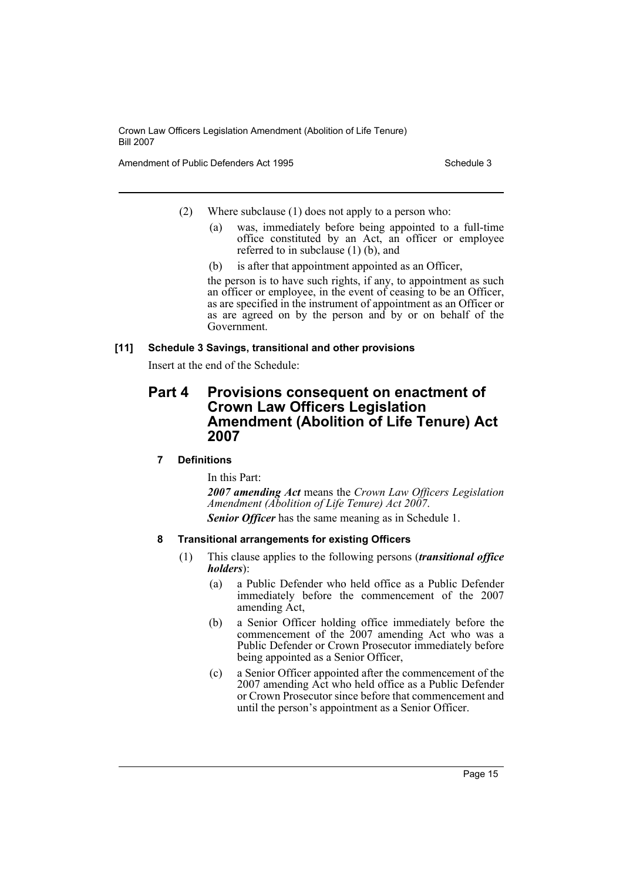Amendment of Public Defenders Act 1995 Schedule 3

- (2) Where subclause (1) does not apply to a person who:
	- (a) was, immediately before being appointed to a full-time office constituted by an Act, an officer or employee referred to in subclause (1) (b), and
	- (b) is after that appointment appointed as an Officer,

the person is to have such rights, if any, to appointment as such an officer or employee, in the event of ceasing to be an Officer, as are specified in the instrument of appointment as an Officer or as are agreed on by the person and by or on behalf of the Government.

# **[11] Schedule 3 Savings, transitional and other provisions**

Insert at the end of the Schedule:

# **Part 4 Provisions consequent on enactment of Crown Law Officers Legislation Amendment (Abolition of Life Tenure) Act 2007**

# **7 Definitions**

In this Part:

*2007 amending Act* means the *Crown Law Officers Legislation Amendment (Abolition of Life Tenure) Act 2007*. *Senior Officer* has the same meaning as in Schedule 1.

# **8 Transitional arrangements for existing Officers**

- (1) This clause applies to the following persons (*transitional office holders*):
	- (a) a Public Defender who held office as a Public Defender immediately before the commencement of the 2007 amending Act,
	- (b) a Senior Officer holding office immediately before the commencement of the  $2007$  amending Act who was a Public Defender or Crown Prosecutor immediately before being appointed as a Senior Officer,
	- (c) a Senior Officer appointed after the commencement of the 2007 amending Act who held office as a Public Defender or Crown Prosecutor since before that commencement and until the person's appointment as a Senior Officer.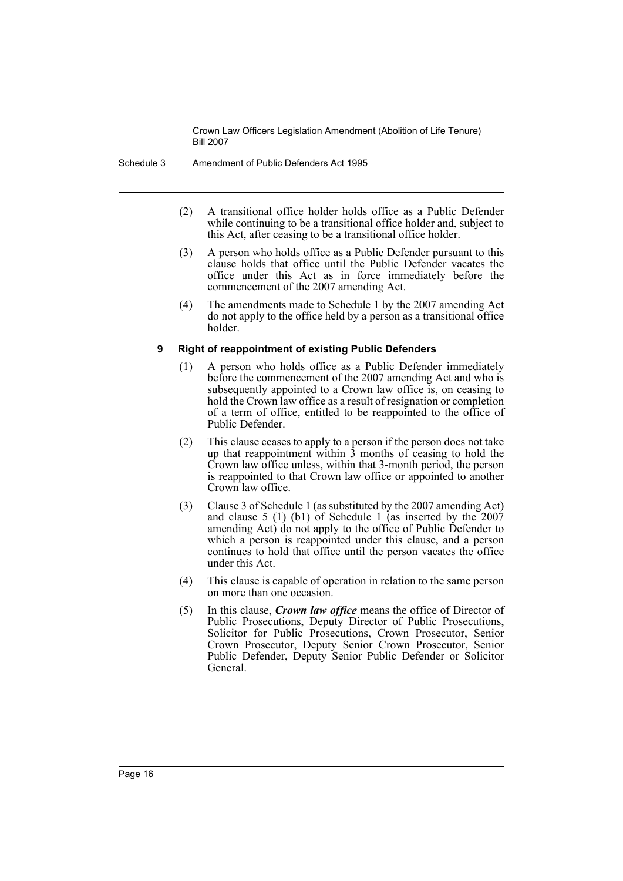Schedule 3 Amendment of Public Defenders Act 1995

- (2) A transitional office holder holds office as a Public Defender while continuing to be a transitional office holder and, subject to this Act, after ceasing to be a transitional office holder.
- (3) A person who holds office as a Public Defender pursuant to this clause holds that office until the Public Defender vacates the office under this Act as in force immediately before the commencement of the 2007 amending Act.
- (4) The amendments made to Schedule 1 by the 2007 amending Act do not apply to the office held by a person as a transitional office holder.

# **9 Right of reappointment of existing Public Defenders**

- (1) A person who holds office as a Public Defender immediately before the commencement of the 2007 amending Act and who is subsequently appointed to a Crown law office is, on ceasing to hold the Crown law office as a result of resignation or completion of a term of office, entitled to be reappointed to the office of Public Defender.
- (2) This clause ceases to apply to a person if the person does not take up that reappointment within 3 months of ceasing to hold the Crown law office unless, within that 3-month period, the person is reappointed to that Crown law office or appointed to another Crown law office.
- (3) Clause 3 of Schedule 1 (as substituted by the 2007 amending Act) and clause 5 (1) (b1) of Schedule 1 (as inserted by the 2007 amending Act) do not apply to the office of Public Defender to which a person is reappointed under this clause, and a person continues to hold that office until the person vacates the office under this Act.
- (4) This clause is capable of operation in relation to the same person on more than one occasion.
- (5) In this clause, *Crown law office* means the office of Director of Public Prosecutions, Deputy Director of Public Prosecutions, Solicitor for Public Prosecutions, Crown Prosecutor, Senior Crown Prosecutor, Deputy Senior Crown Prosecutor, Senior Public Defender, Deputy Senior Public Defender or Solicitor General.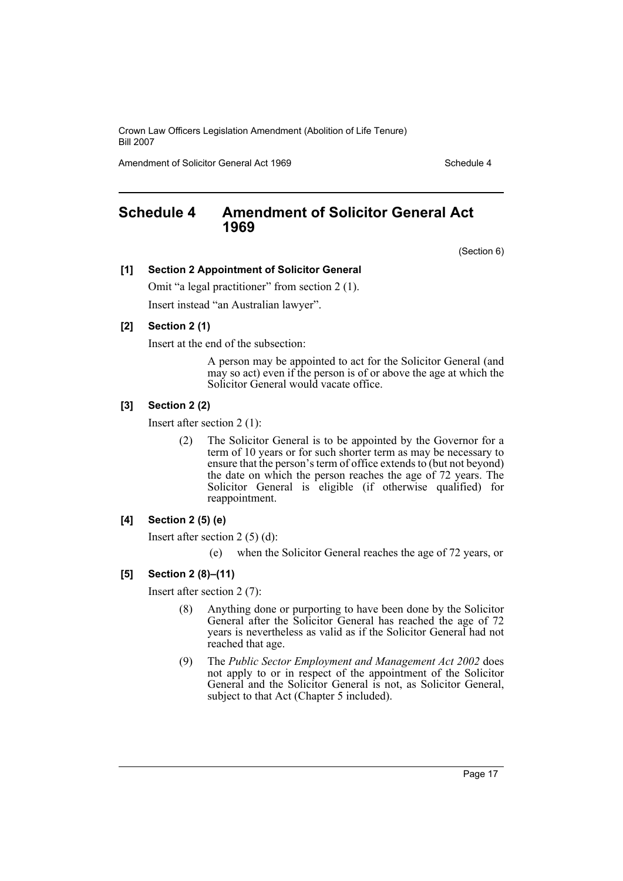Amendment of Solicitor General Act 1969 Schedule 4

# <span id="page-17-0"></span>**Schedule 4 Amendment of Solicitor General Act 1969**

(Section 6)

#### **[1] Section 2 Appointment of Solicitor General**

Omit "a legal practitioner" from section 2 (1). Insert instead "an Australian lawyer".

# **[2] Section 2 (1)**

Insert at the end of the subsection:

A person may be appointed to act for the Solicitor General (and may so act) even if the person is of or above the age at which the Solicitor General would vacate office.

# **[3] Section 2 (2)**

Insert after section 2 (1):

(2) The Solicitor General is to be appointed by the Governor for a term of 10 years or for such shorter term as may be necessary to ensure that the person's term of office extends to (but not beyond) the date on which the person reaches the age of 72 years. The Solicitor General is eligible (if otherwise qualified) for reappointment.

# **[4] Section 2 (5) (e)**

Insert after section 2 (5) (d):

(e) when the Solicitor General reaches the age of 72 years, or

#### **[5] Section 2 (8)–(11)**

Insert after section 2 (7):

- (8) Anything done or purporting to have been done by the Solicitor General after the Solicitor General has reached the age of 72 years is nevertheless as valid as if the Solicitor General had not reached that age.
- (9) The *Public Sector Employment and Management Act 2002* does not apply to or in respect of the appointment of the Solicitor General and the Solicitor General is not, as Solicitor General, subject to that Act (Chapter 5 included).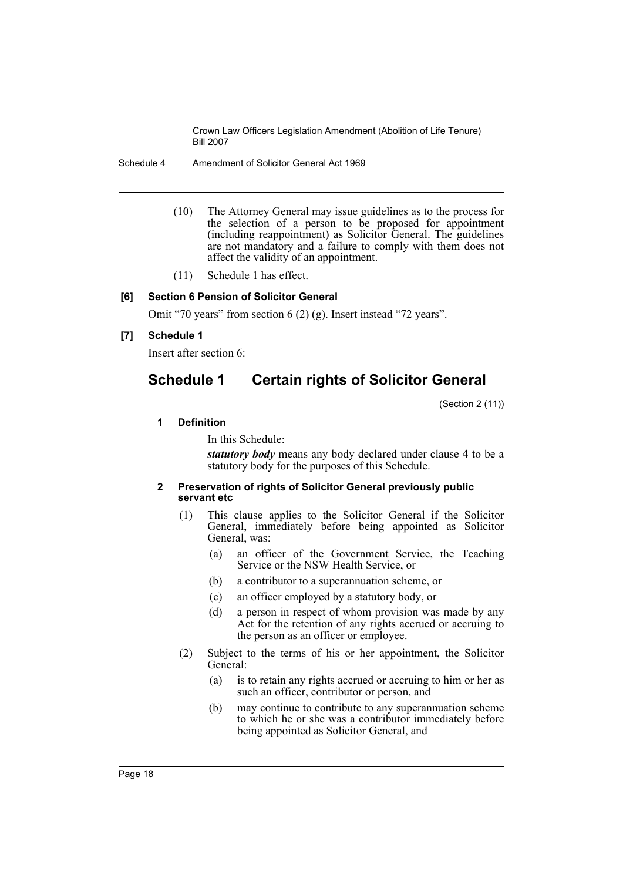Schedule 4 Amendment of Solicitor General Act 1969

- (10) The Attorney General may issue guidelines as to the process for the selection of a person to be proposed for appointment (including reappointment) as Solicitor General. The guidelines are not mandatory and a failure to comply with them does not affect the validity of an appointment.
- (11) Schedule 1 has effect.

# **[6] Section 6 Pension of Solicitor General**

Omit "70 years" from section 6 (2) (g). Insert instead "72 years".

# **[7] Schedule 1**

Insert after section 6:

# **Schedule 1 Certain rights of Solicitor General**

(Section 2 (11))

#### **1 Definition**

In this Schedule:

*statutory body* means any body declared under clause 4 to be a statutory body for the purposes of this Schedule.

#### **2 Preservation of rights of Solicitor General previously public servant etc**

- (1) This clause applies to the Solicitor General if the Solicitor General, immediately before being appointed as Solicitor General, was:
	- (a) an officer of the Government Service, the Teaching Service or the NSW Health Service, or
	- (b) a contributor to a superannuation scheme, or
	- (c) an officer employed by a statutory body, or
	- (d) a person in respect of whom provision was made by any Act for the retention of any rights accrued or accruing to the person as an officer or employee.
- (2) Subject to the terms of his or her appointment, the Solicitor General:
	- (a) is to retain any rights accrued or accruing to him or her as such an officer, contributor or person, and
	- (b) may continue to contribute to any superannuation scheme to which he or she was a contributor immediately before being appointed as Solicitor General, and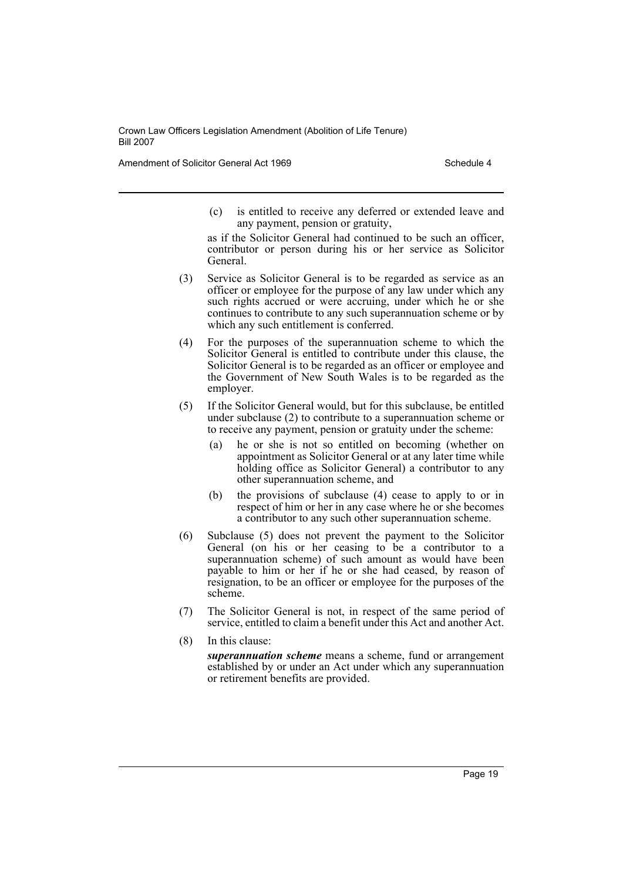Amendment of Solicitor General Act 1969 Schedule 4

(c) is entitled to receive any deferred or extended leave and any payment, pension or gratuity,

as if the Solicitor General had continued to be such an officer, contributor or person during his or her service as Solicitor General.

- (3) Service as Solicitor General is to be regarded as service as an officer or employee for the purpose of any law under which any such rights accrued or were accruing, under which he or she continues to contribute to any such superannuation scheme or by which any such entitlement is conferred.
- (4) For the purposes of the superannuation scheme to which the Solicitor General is entitled to contribute under this clause, the Solicitor General is to be regarded as an officer or employee and the Government of New South Wales is to be regarded as the employer.
- (5) If the Solicitor General would, but for this subclause, be entitled under subclause (2) to contribute to a superannuation scheme or to receive any payment, pension or gratuity under the scheme:
	- (a) he or she is not so entitled on becoming (whether on appointment as Solicitor General or at any later time while holding office as Solicitor General) a contributor to any other superannuation scheme, and
	- (b) the provisions of subclause (4) cease to apply to or in respect of him or her in any case where he or she becomes a contributor to any such other superannuation scheme.
- (6) Subclause (5) does not prevent the payment to the Solicitor General (on his or her ceasing to be a contributor to a superannuation scheme) of such amount as would have been payable to him or her if he or she had ceased, by reason of resignation, to be an officer or employee for the purposes of the scheme.
- (7) The Solicitor General is not, in respect of the same period of service, entitled to claim a benefit under this Act and another Act.
- (8) In this clause:

*superannuation scheme* means a scheme, fund or arrangement established by or under an Act under which any superannuation or retirement benefits are provided.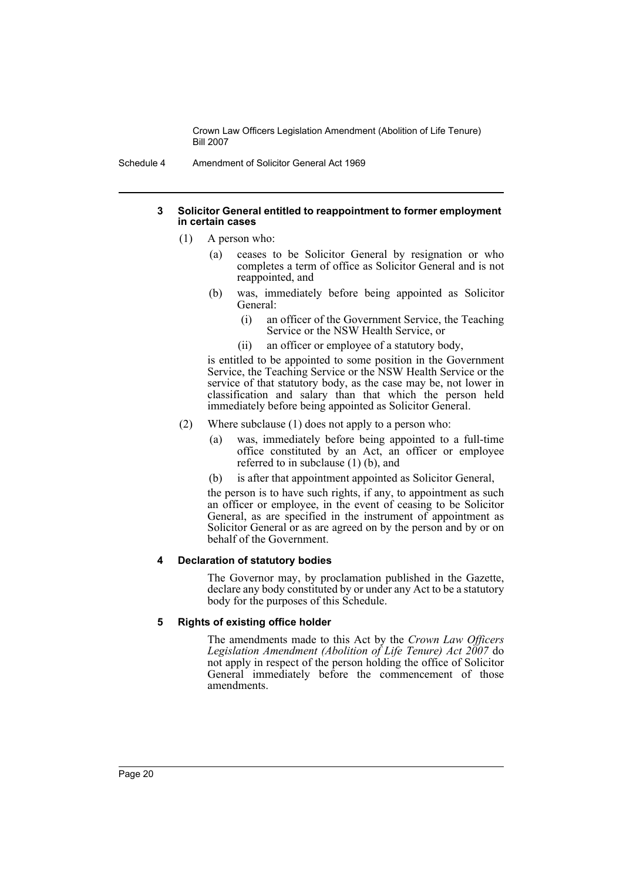Schedule 4 Amendment of Solicitor General Act 1969

#### **3 Solicitor General entitled to reappointment to former employment in certain cases**

- (1) A person who:
	- (a) ceases to be Solicitor General by resignation or who completes a term of office as Solicitor General and is not reappointed, and
	- (b) was, immediately before being appointed as Solicitor General:
		- (i) an officer of the Government Service, the Teaching Service or the NSW Health Service, or
		- (ii) an officer or employee of a statutory body,

is entitled to be appointed to some position in the Government Service, the Teaching Service or the NSW Health Service or the service of that statutory body, as the case may be, not lower in classification and salary than that which the person held immediately before being appointed as Solicitor General.

- (2) Where subclause (1) does not apply to a person who:
	- (a) was, immediately before being appointed to a full-time office constituted by an Act, an officer or employee referred to in subclause (1) (b), and
	- (b) is after that appointment appointed as Solicitor General,

the person is to have such rights, if any, to appointment as such an officer or employee, in the event of ceasing to be Solicitor General, as are specified in the instrument of appointment as Solicitor General or as are agreed on by the person and by or on behalf of the Government.

# **4 Declaration of statutory bodies**

The Governor may, by proclamation published in the Gazette, declare any body constituted by or under any Act to be a statutory body for the purposes of this Schedule.

# **5 Rights of existing office holder**

The amendments made to this Act by the *Crown Law Officers Legislation Amendment (Abolition of Life Tenure) Act 2007* do not apply in respect of the person holding the office of Solicitor General immediately before the commencement of those amendments.